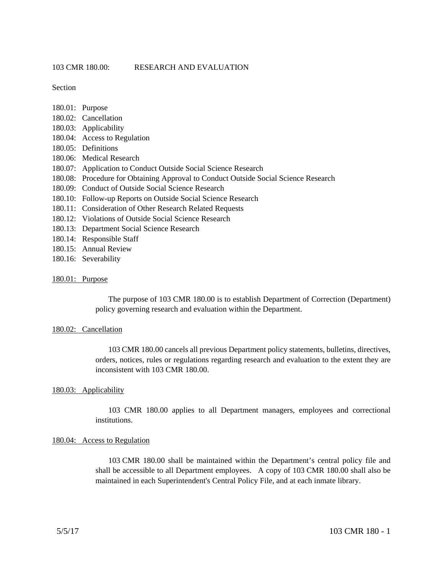Section

- 180.01: Purpose 180.02: Cancellation 180.03: Applicability 180.04: Access to Regulation 180.05: Definitions 180.06: Medical Research 180.07: Application to Conduct Outside Social Science Research 180.08: Procedure for Obtaining Approval to Conduct Outside Social Science Research 180.09: Conduct of Outside Social Science Research
- 180.10: Follow-up Reports on Outside Social Science Research
- 180.11: Consideration of Other Research Related Requests
- 180.12: Violations of Outside Social Science Research
- 180.13: Department Social Science Research
- 180.14: Responsible Staff
- 180.15: Annual Review
- 180.16: Severability

### 180.01: Purpose

The purpose of 103 CMR 180.00 is to establish Department of Correction (Department) policy governing research and evaluation within the Department.

## 180.02: Cancellation

103 CMR 180.00 cancels all previous Department policy statements, bulletins, directives, orders, notices, rules or regulations regarding research and evaluation to the extent they are inconsistent with 103 CMR 180.00.

### 180.03: Applicability

103 CMR 180.00 applies to all Department managers, employees and correctional institutions.

# 180.04: Access to Regulation

103 CMR 180.00 shall be maintained within the Department's central policy file and shall be accessible to all Department employees. A copy of 103 CMR 180.00 shall also be maintained in each Superintendent's Central Policy File, and at each inmate library.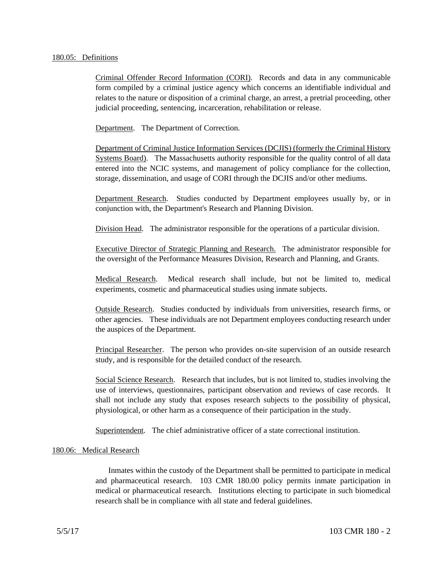## 180.05: Definitions

Criminal Offender Record Information (CORI). Records and data in any communicable form compiled by a criminal justice agency which concerns an identifiable individual and relates to the nature or disposition of a criminal charge, an arrest, a pretrial proceeding, other judicial proceeding, sentencing, incarceration, rehabilitation or release.

Department. The Department of Correction.

Department of Criminal Justice Information Services (DCJIS) (formerly the Criminal History Systems Board). The Massachusetts authority responsible for the quality control of all data entered into the NCIC systems, and management of policy compliance for the collection, storage, dissemination, and usage of CORI through the DCJIS and/or other mediums.

Department Research. Studies conducted by Department employees usually by, or in conjunction with, the Department's Research and Planning Division.

Division Head. The administrator responsible for the operations of a particular division.

Executive Director of Strategic Planning and Research. The administrator responsible for the oversight of the Performance Measures Division, Research and Planning, and Grants.

Medical Research. Medical research shall include, but not be limited to, medical experiments, cosmetic and pharmaceutical studies using inmate subjects.

Outside Research. Studies conducted by individuals from universities, research firms, or other agencies. These individuals are not Department employees conducting research under the auspices of the Department.

Principal Researcher. The person who provides on-site supervision of an outside research study, and is responsible for the detailed conduct of the research.

Social Science Research. Research that includes, but is not limited to, studies involving the use of interviews, questionnaires, participant observation and reviews of case records. It shall not include any study that exposes research subjects to the possibility of physical, physiological, or other harm as a consequence of their participation in the study.

Superintendent. The chief administrative officer of a state correctional institution.

# 180.06: Medical Research

Inmates within the custody of the Department shall be permitted to participate in medical and pharmaceutical research. 103 CMR 180.00 policy permits inmate participation in medical or pharmaceutical research. Institutions electing to participate in such biomedical research shall be in compliance with all state and federal guidelines.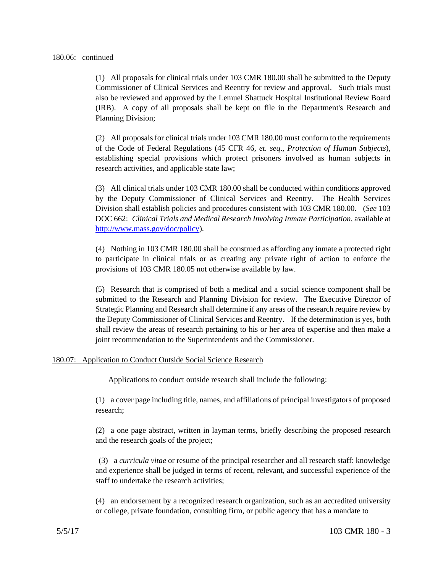(1) All proposals for clinical trials under 103 CMR 180.00 shall be submitted to the Deputy Commissioner of Clinical Services and Reentry for review and approval. Such trials must also be reviewed and approved by the Lemuel Shattuck Hospital Institutional Review Board (IRB). A copy of all proposals shall be kept on file in the Department's Research and Planning Division;

(2) All proposals for clinical trials under 103 CMR 180.00 must conform to the requirements of the Code of Federal Regulations (45 CFR 46, *et. seq*., *Protection of Human Subjects*), establishing special provisions which protect prisoners involved as human subjects in research activities, and applicable state law;

(3) All clinical trials under 103 CMR 180.00 shall be conducted within conditions approved by the Deputy Commissioner of Clinical Services and Reentry. The Health Services Division shall establish policies and procedures consistent with 103 CMR 180.00. (*See* 103 DOC 662: *Clinical Trials and Medical Research Involving Inmate Participation*, available at http://www.mass.gov/doc/policy).

(4) Nothing in 103 CMR 180.00 shall be construed as affording any inmate a protected right to participate in clinical trials or as creating any private right of action to enforce the provisions of 103 CMR 180.05 not otherwise available by law.

(5) Research that is comprised of both a medical and a social science component shall be submitted to the Research and Planning Division for review. The Executive Director of Strategic Planning and Research shall determine if any areas of the research require review by the Deputy Commissioner of Clinical Services and Reentry. If the determination is yes, both shall review the areas of research pertaining to his or her area of expertise and then make a joint recommendation to the Superintendents and the Commissioner.

# 180.07: Application to Conduct Outside Social Science Research

Applications to conduct outside research shall include the following:

(1) a cover page including title, names, and affiliations of principal investigators of proposed research;

(2) a one page abstract, written in layman terms, briefly describing the proposed research and the research goals of the project;

 (3) a *curricula vitae* or resume of the principal researcher and all research staff: knowledge and experience shall be judged in terms of recent, relevant, and successful experience of the staff to undertake the research activities;

(4) an endorsement by a recognized research organization, such as an accredited university or college, private foundation, consulting firm, or public agency that has a mandate to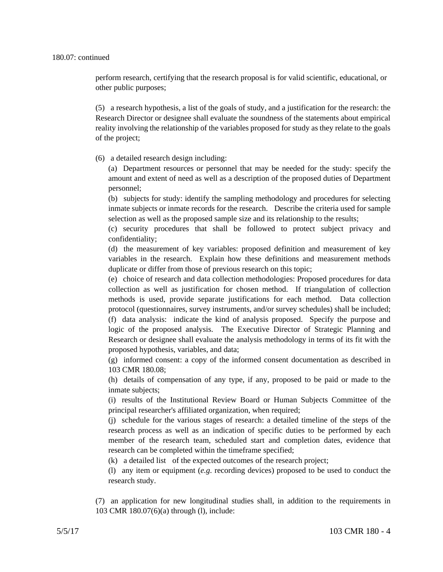perform research, certifying that the research proposal is for valid scientific, educational, or other public purposes;

(5) a research hypothesis, a list of the goals of study, and a justification for the research: the Research Director or designee shall evaluate the soundness of the statements about empirical reality involving the relationship of the variables proposed for study as they relate to the goals of the project;

(6) a detailed research design including:

(a) Department resources or personnel that may be needed for the study: specify the amount and extent of need as well as a description of the proposed duties of Department personnel;

(b) subjects for study: identify the sampling methodology and procedures for selecting inmate subjects or inmate records for the research. Describe the criteria used for sample selection as well as the proposed sample size and its relationship to the results;

(c) security procedures that shall be followed to protect subject privacy and confidentiality;

(d) the measurement of key variables: proposed definition and measurement of key variables in the research. Explain how these definitions and measurement methods duplicate or differ from those of previous research on this topic;

(e) choice of research and data collection methodologies: Proposed procedures for data collection as well as justification for chosen method. If triangulation of collection methods is used, provide separate justifications for each method. Data collection protocol (questionnaires, survey instruments, and/or survey schedules) shall be included; (f) data analysis: indicate the kind of analysis proposed. Specify the purpose and logic of the proposed analysis. The Executive Director of Strategic Planning and Research or designee shall evaluate the analysis methodology in terms of its fit with the proposed hypothesis, variables, and data;

(g) informed consent: a copy of the informed consent documentation as described in 103 CMR 180.08;

(h) details of compensation of any type, if any, proposed to be paid or made to the inmate subjects;

(i) results of the Institutional Review Board or Human Subjects Committee of the principal researcher's affiliated organization, when required;

(j) schedule for the various stages of research: a detailed timeline of the steps of the research process as well as an indication of specific duties to be performed by each member of the research team, scheduled start and completion dates, evidence that research can be completed within the timeframe specified;

(k) a detailed list of the expected outcomes of the research project;

(l) any item or equipment (*e.g*. recording devices) proposed to be used to conduct the research study.

(7) an application for new longitudinal studies shall, in addition to the requirements in 103 CMR 180.07(6)(a) through (l), include: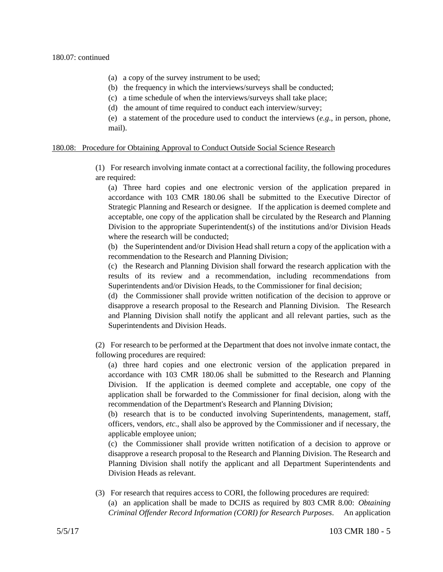- (a) a copy of the survey instrument to be used;
- (b) the frequency in which the interviews/surveys shall be conducted;
- (c) a time schedule of when the interviews/surveys shall take place;
- (d) the amount of time required to conduct each interview/survey;

(e) a statement of the procedure used to conduct the interviews (*e.g*., in person, phone, mail).

## 180.08: Procedure for Obtaining Approval to Conduct Outside Social Science Research

(1) For research involving inmate contact at a correctional facility, the following procedures are required:

(a) Three hard copies and one electronic version of the application prepared in accordance with 103 CMR 180.06 shall be submitted to the Executive Director of Strategic Planning and Research or designee. If the application is deemed complete and acceptable, one copy of the application shall be circulated by the Research and Planning Division to the appropriate Superintendent(s) of the institutions and/or Division Heads where the research will be conducted;

(b) the Superintendent and/or Division Head shall return a copy of the application with a recommendation to the Research and Planning Division;

(c) the Research and Planning Division shall forward the research application with the results of its review and a recommendation, including recommendations from Superintendents and/or Division Heads, to the Commissioner for final decision;

(d) the Commissioner shall provide written notification of the decision to approve or disapprove a research proposal to the Research and Planning Division. The Research and Planning Division shall notify the applicant and all relevant parties, such as the Superintendents and Division Heads.

(2) For research to be performed at the Department that does not involve inmate contact, the following procedures are required:

(a) three hard copies and one electronic version of the application prepared in accordance with 103 CMR 180.06 shall be submitted to the Research and Planning Division. If the application is deemed complete and acceptable, one copy of the application shall be forwarded to the Commissioner for final decision, along with the recommendation of the Department's Research and Planning Division;

(b) research that is to be conducted involving Superintendents, management, staff, officers, vendors, *etc*., shall also be approved by the Commissioner and if necessary, the applicable employee union;

(c) the Commissioner shall provide written notification of a decision to approve or disapprove a research proposal to the Research and Planning Division. The Research and Planning Division shall notify the applicant and all Department Superintendents and Division Heads as relevant.

(3) For research that requires access to CORI, the following procedures are required: (a) an application shall be made to DCJIS as required by 803 CMR 8.00: *Obtaining Criminal Offender Record Information (CORI) for Research Purposes*. An application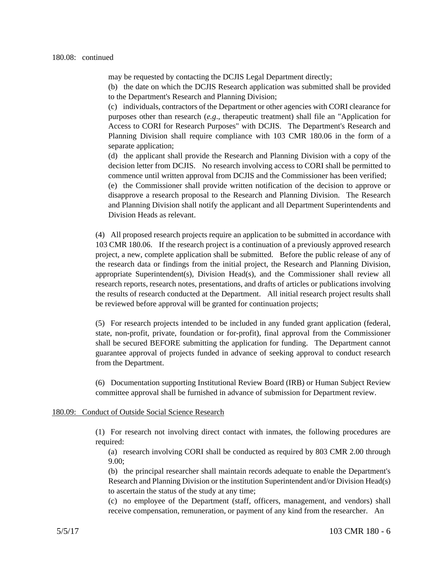may be requested by contacting the DCJIS Legal Department directly;

(b) the date on which the DCJIS Research application was submitted shall be provided to the Department's Research and Planning Division;

(c) individuals, contractors of the Department or other agencies with CORI clearance for purposes other than research (*e.g*., therapeutic treatment) shall file an "Application for Access to CORI for Research Purposes" with DCJIS. The Department's Research and Planning Division shall require compliance with 103 CMR 180.06 in the form of a separate application;

(d) the applicant shall provide the Research and Planning Division with a copy of the decision letter from DCJIS. No research involving access to CORI shall be permitted to commence until written approval from DCJIS and the Commissioner has been verified;

(e) the Commissioner shall provide written notification of the decision to approve or disapprove a research proposal to the Research and Planning Division. The Research and Planning Division shall notify the applicant and all Department Superintendents and Division Heads as relevant.

(4) All proposed research projects require an application to be submitted in accordance with 103 CMR 180.06. If the research project is a continuation of a previously approved research project, a new, complete application shall be submitted. Before the public release of any of the research data or findings from the initial project, the Research and Planning Division, appropriate Superintendent(s), Division Head(s), and the Commissioner shall review all research reports, research notes, presentations, and drafts of articles or publications involving the results of research conducted at the Department. All initial research project results shall be reviewed before approval will be granted for continuation projects;

(5) For research projects intended to be included in any funded grant application (federal, state, non-profit, private, foundation or for-profit), final approval from the Commissioner shall be secured BEFORE submitting the application for funding. The Department cannot guarantee approval of projects funded in advance of seeking approval to conduct research from the Department.

(6) Documentation supporting Institutional Review Board (IRB) or Human Subject Review committee approval shall be furnished in advance of submission for Department review.

#### 180.09: Conduct of Outside Social Science Research

(1) For research not involving direct contact with inmates, the following procedures are required:

(a) research involving CORI shall be conducted as required by 803 CMR 2.00 through 9.00;

(b) the principal researcher shall maintain records adequate to enable the Department's Research and Planning Division or the institution Superintendent and/or Division Head(s) to ascertain the status of the study at any time;

(c) no employee of the Department (staff, officers, management, and vendors) shall receive compensation, remuneration, or payment of any kind from the researcher. An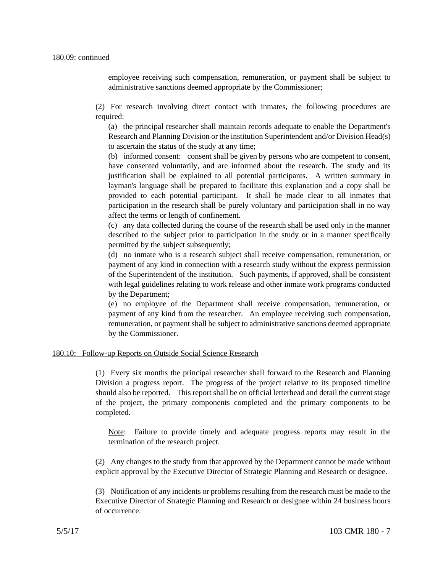employee receiving such compensation, remuneration, or payment shall be subject to administrative sanctions deemed appropriate by the Commissioner;

(2) For research involving direct contact with inmates, the following procedures are required:

(a) the principal researcher shall maintain records adequate to enable the Department's Research and Planning Division or the institution Superintendent and/or Division Head(s) to ascertain the status of the study at any time;

(b) informed consent: consent shall be given by persons who are competent to consent, have consented voluntarily, and are informed about the research. The study and its justification shall be explained to all potential participants. A written summary in layman's language shall be prepared to facilitate this explanation and a copy shall be provided to each potential participant. It shall be made clear to all inmates that participation in the research shall be purely voluntary and participation shall in no way affect the terms or length of confinement.

(c) any data collected during the course of the research shall be used only in the manner described to the subject prior to participation in the study or in a manner specifically permitted by the subject subsequently;

(d) no inmate who is a research subject shall receive compensation, remuneration, or payment of any kind in connection with a research study without the express permission of the Superintendent of the institution. Such payments, if approved, shall be consistent with legal guidelines relating to work release and other inmate work programs conducted by the Department;

(e) no employee of the Department shall receive compensation, remuneration, or payment of any kind from the researcher. An employee receiving such compensation, remuneration, or payment shall be subject to administrative sanctions deemed appropriate by the Commissioner.

# 180.10: Follow-up Reports on Outside Social Science Research

(1) Every six months the principal researcher shall forward to the Research and Planning Division a progress report. The progress of the project relative to its proposed timeline should also be reported. This report shall be on official letterhead and detail the current stage of the project, the primary components completed and the primary components to be completed.

Note: Failure to provide timely and adequate progress reports may result in the termination of the research project.

(2) Any changes to the study from that approved by the Department cannot be made without explicit approval by the Executive Director of Strategic Planning and Research or designee.

(3) Notification of any incidents or problems resulting from the research must be made to the Executive Director of Strategic Planning and Research or designee within 24 business hours of occurrence.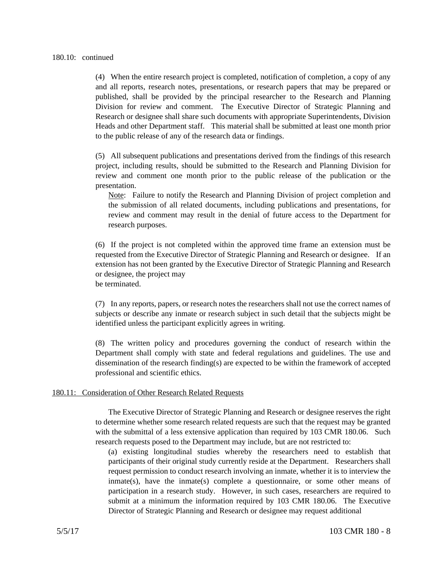(4) When the entire research project is completed, notification of completion, a copy of any and all reports, research notes, presentations, or research papers that may be prepared or published, shall be provided by the principal researcher to the Research and Planning Division for review and comment. The Executive Director of Strategic Planning and Research or designee shall share such documents with appropriate Superintendents, Division Heads and other Department staff. This material shall be submitted at least one month prior to the public release of any of the research data or findings.

(5) All subsequent publications and presentations derived from the findings of this research project, including results, should be submitted to the Research and Planning Division for review and comment one month prior to the public release of the publication or the presentation.

Note: Failure to notify the Research and Planning Division of project completion and the submission of all related documents, including publications and presentations, for review and comment may result in the denial of future access to the Department for research purposes.

(6) If the project is not completed within the approved time frame an extension must be requested from the Executive Director of Strategic Planning and Research or designee. If an extension has not been granted by the Executive Director of Strategic Planning and Research or designee, the project may be terminated.

(7) In any reports, papers, or research notes the researchers shall not use the correct names of subjects or describe any inmate or research subject in such detail that the subjects might be identified unless the participant explicitly agrees in writing.

(8) The written policy and procedures governing the conduct of research within the Department shall comply with state and federal regulations and guidelines. The use and dissemination of the research finding(s) are expected to be within the framework of accepted professional and scientific ethics.

### 180.11: Consideration of Other Research Related Requests

The Executive Director of Strategic Planning and Research or designee reserves the right to determine whether some research related requests are such that the request may be granted with the submittal of a less extensive application than required by 103 CMR 180.06. Such research requests posed to the Department may include, but are not restricted to:

(a) existing longitudinal studies whereby the researchers need to establish that participants of their original study currently reside at the Department. Researchers shall request permission to conduct research involving an inmate, whether it is to interview the inmate(s), have the inmate(s) complete a questionnaire, or some other means of participation in a research study. However, in such cases, researchers are required to submit at a minimum the information required by 103 CMR 180.06. The Executive Director of Strategic Planning and Research or designee may request additional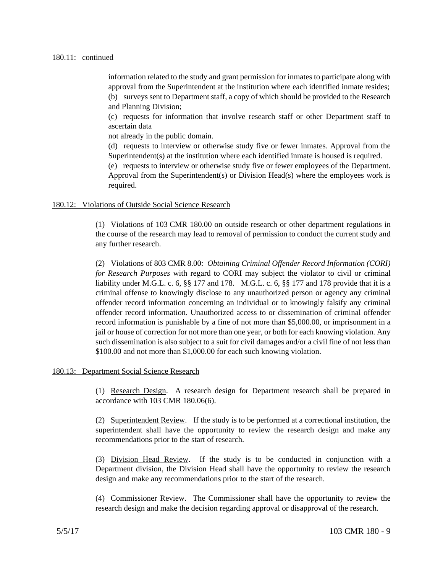### 180.11: continued

information related to the study and grant permission for inmates to participate along with approval from the Superintendent at the institution where each identified inmate resides; (b) surveys sent to Department staff, a copy of which should be provided to the Research and Planning Division;

(c) requests for information that involve research staff or other Department staff to ascertain data

not already in the public domain.

(d) requests to interview or otherwise study five or fewer inmates. Approval from the Superintendent(s) at the institution where each identified inmate is housed is required.

(e) requests to interview or otherwise study five or fewer employees of the Department. Approval from the Superintendent(s) or Division Head(s) where the employees work is required.

## 180.12: Violations of Outside Social Science Research

(1) Violations of 103 CMR 180.00 on outside research or other department regulations in the course of the research may lead to removal of permission to conduct the current study and any further research.

(2) Violations of 803 CMR 8.00: *Obtaining Criminal Offender Record Information (CORI) for Research Purposes* with regard to CORI may subject the violator to civil or criminal liability under M.G.L. c. 6, §§ 177 and 178. M.G.L. c. 6, §§ 177 and 178 provide that it is a criminal offense to knowingly disclose to any unauthorized person or agency any criminal offender record information concerning an individual or to knowingly falsify any criminal offender record information. Unauthorized access to or dissemination of criminal offender record information is punishable by a fine of not more than \$5,000.00, or imprisonment in a jail or house of correction for not more than one year, or both for each knowing violation. Any such dissemination is also subject to a suit for civil damages and/or a civil fine of not less than \$100.00 and not more than \$1,000.00 for each such knowing violation.

### 180.13: Department Social Science Research

(1) Research Design. A research design for Department research shall be prepared in accordance with 103 CMR 180.06(6).

(2) Superintendent Review. If the study is to be performed at a correctional institution, the superintendent shall have the opportunity to review the research design and make any recommendations prior to the start of research.

(3) Division Head Review. If the study is to be conducted in conjunction with a Department division, the Division Head shall have the opportunity to review the research design and make any recommendations prior to the start of the research.

(4) Commissioner Review. The Commissioner shall have the opportunity to review the research design and make the decision regarding approval or disapproval of the research.